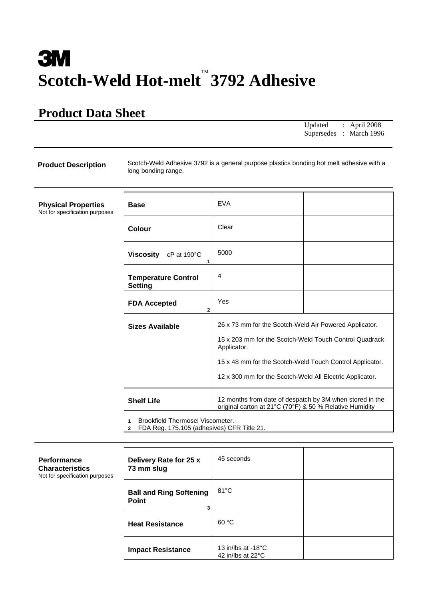# **3M Scotch-Weld Hot-melt** ™ **3792 Adhesive**

# **Product Data Sheet**

 $\mathbf{r}$ 

Updated : April 2008 Supersedes : March 1996

**Product Description** Scotch-Weld Adhesive 3792 is a general purpose plastics bonding hot melt adhesive with a long bonding range.

**Physical Properties**  Not for specification purposes

| <b>Base</b>                                       | <b>EVA</b>                                                                                                                                                                                                                                              |  |  |  |  |
|---------------------------------------------------|---------------------------------------------------------------------------------------------------------------------------------------------------------------------------------------------------------------------------------------------------------|--|--|--|--|
| Colour                                            | Clear                                                                                                                                                                                                                                                   |  |  |  |  |
| Viscosity<br>$cP$ at 190 $\degree$ C<br>1         | 5000                                                                                                                                                                                                                                                    |  |  |  |  |
| <b>Temperature Control</b><br>Setting             | $\overline{4}$                                                                                                                                                                                                                                          |  |  |  |  |
| <b>FDA Accepted</b><br>$\mathbf{2}$               | Yes                                                                                                                                                                                                                                                     |  |  |  |  |
| <b>Sizes Available</b>                            | 26 x 73 mm for the Scotch-Weld Air Powered Applicator.<br>15 x 203 mm for the Scotch-Weld Touch Control Quadrack<br>Applicator.<br>15 x 48 mm for the Scotch-Weld Touch Control Applicator.<br>12 x 300 mm for the Scotch-Weld All Electric Applicator. |  |  |  |  |
| <b>Shelf Life</b>                                 | 12 months from date of despatch by 3M when stored in the<br>original carton at 21°C (70°F) & 50 % Relative Humidity                                                                                                                                     |  |  |  |  |
| Brookfield Thermosel Viscometer<br>$\blacksquare$ |                                                                                                                                                                                                                                                         |  |  |  |  |

10 Brookfield Thermosel Viscomete

**2** FDA Reg. 175.105 (adhesives) CFR Title 21.

| <b>Performance</b><br><b>Characteristics</b><br>Not for specification purposes | Delivery Rate for 25 x<br>73 mm slug         | 45 seconds                                                   |  |
|--------------------------------------------------------------------------------|----------------------------------------------|--------------------------------------------------------------|--|
|                                                                                | <b>Ball and Ring Softening</b><br>Point<br>3 | $81^{\circ}$ C                                               |  |
|                                                                                | <b>Heat Resistance</b>                       | 60 °C                                                        |  |
|                                                                                | <b>Impact Resistance</b>                     | 13 in/lbs at -18 $^{\circ}$ C<br>42 in/lbs at $22^{\circ}$ C |  |